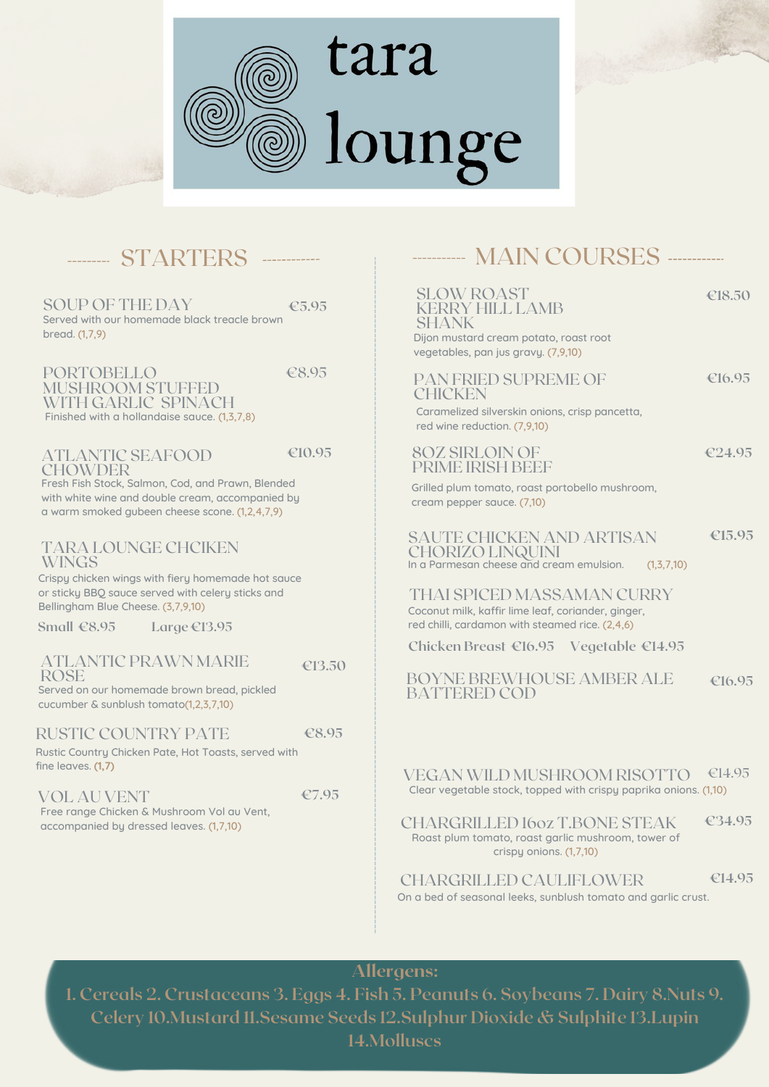

# tara lounge



# -------- STARTERS -----------

Served with our homemade black treacle brown bread. (1,7,9) **€5.95** SOUP OF THE DAY

PORTOBELLO MUSHROOM STUFFED WITH GARLIC SPINACH Finished with a hollandaise sauce. (1,3,7,8) €8.95

ATLANTIC SEAFOOD **€10.95**

Fresh Fish Stock, Salmon, Cod, and Prawn, Blended with white wine and double cream, accompanied by a warm smoked gubeen cheese scone. (1,2,4,7,9) **CHOWDER** 

TARA LOUNGE CHCIKEN WINGS

Crispy chicken wings with fiery homemade hot sauce or sticky BBQ sauce served with celery sticks and Bellingham Blue Cheese. (3,7,9,10)

**Small €8.95 Large €13.95**

### ATLANTIC PRAWN MARIE ROSE

**€13.50**

Served on our homemade brown bread, pickled cucumber & sunblush tomato(1,2,3,7,10)

#### RUSTIC COUNTRY PATE **€8.95**

Rustic Country Chicken Pate, Hot Toasts, served with fine leaves. **(1,7)**

VOL AU VENT Free range Chicken & Mushroom Vol au Vent, accompanied by dressed leaves. (1,7,10) **€7.95**

# --------- MAIN COURSES ----------

SLOW ROAST KERRY HILL LAMB SHANK

PAN FRIED SUPREME OF

8OZ SIRLOIN OF PRIME IRISH BEEF **€18.50**

Dijon mustard cream potato, roast root vegetables, pan jus gravy. (7,9,10)

**€16.95**

Caramelized silverskin onions, crisp pancetta, red wine reduction. (7,9,10) **CHICKEN** 

**€24.95**

Grilled plum tomato, roast portobello mushroom, cream pepper sauce. (7,10)

SAUTE CHICKEN AND ARTISAN CHORIZO LINQUINI In a Parmesan cheese and cream emulsion. (1,3,7,10) €15.95

Coconut milk, kaffir lime leaf, coriander, ginger, red chilli, cardamon with steamed rice. (2,4,6) THAI SPICED MASSAMAN CURRY

**Chicken Breast €16.95 Vegetable €14.95**

BOYNE BREWHOUSE AMBER ALE BATTERED COD **€16.95**

VEGAN WILD MUSHROOM RISOTTO Clear vegetable stock, topped with crispy paprika onions. (1,10) €14.95

CHARGRILLED 16oz T.BONE STEAK Roast plum tomato, roast garlic mushroom, tower of crispy onions. (1,7,10) **€34.95**

CHARGRILLED CAULIFLOWER **€14.95**

On a bed of seasonal leeks, sunblush tomato and garlic crust.

Allergens:

**1. Cereals 2. Crustaceans 3. Eggs 4. Fish 5. Peanuts 6. Soybeans 7. Dairy 8.Nuts 9. Celery 10.Mustard 11.Sesame Seeds 12.Sulphur Dioxide & Sulphite 13.Lupin 14.Molluscs**